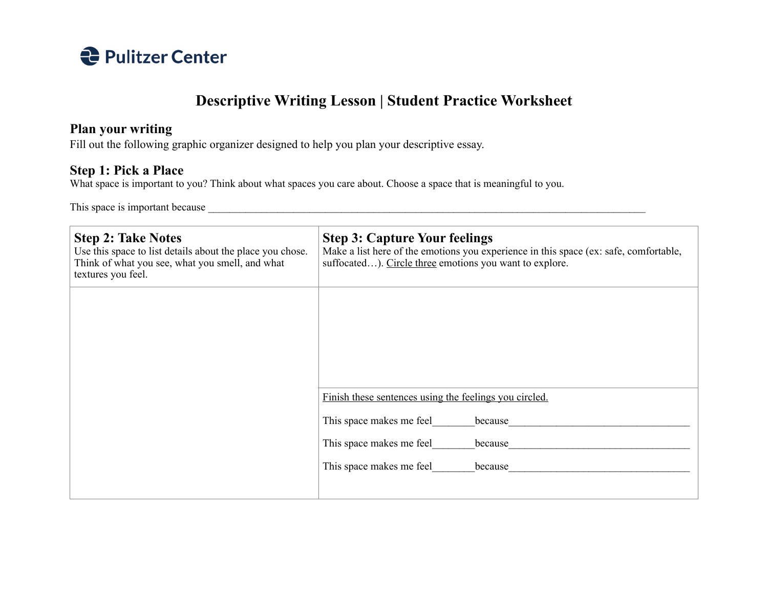

## **Descriptive Writing Lesson | Student Practice Worksheet**

## **Plan your writing**

Fill out the following graphic organizer designed to help you plan your descriptive essay.

## **Step 1: Pick a Place**

What space is important to you? Think about what spaces you care about. Choose a space that is meaningful to you.

This space is important because \_\_\_\_\_\_\_\_\_\_\_\_\_\_\_\_\_\_\_\_\_\_\_\_\_\_\_\_\_\_\_\_\_\_\_\_\_\_\_\_\_\_\_\_\_\_\_\_\_\_\_\_\_\_\_\_\_\_\_\_\_\_\_\_\_\_\_\_\_\_\_\_\_\_\_\_\_\_\_\_\_\_

| <b>Step 3: Capture Your feelings</b><br>Make a list here of the emotions you experience in this space (ex: safe, comfortable,<br>suffocated). Circle three emotions you want to explore. |
|------------------------------------------------------------------------------------------------------------------------------------------------------------------------------------------|
|                                                                                                                                                                                          |
| Finish these sentences using the feelings you circled.                                                                                                                                   |
| This space makes me feel<br>because<br>This space makes me feel<br>because<br>This space makes me feel<br>because                                                                        |
|                                                                                                                                                                                          |